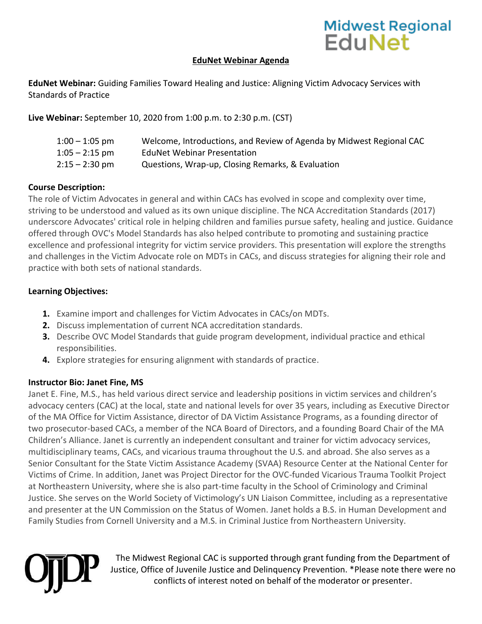# Midwest Regional<br>EduNet

### **EduNet Webinar Agenda**

**EduNet Webinar:** Guiding Families Toward Healing and Justice: Aligning Victim Advocacy Services with Standards of Practice

**Live Webinar:** September 10, 2020 from 1:00 p.m. to 2:30 p.m. (CST)

| $1:00 - 1:05$ pm | Welcome, Introductions, and Review of Agenda by Midwest Regional CAC |
|------------------|----------------------------------------------------------------------|
| $1:05 - 2:15$ pm | <b>EduNet Webinar Presentation</b>                                   |
| $2:15 - 2:30$ pm | Questions, Wrap-up, Closing Remarks, & Evaluation                    |

#### **Course Description:**

The role of Victim Advocates in general and within CACs has evolved in scope and complexity over time, striving to be understood and valued as its own unique discipline. The NCA Accreditation Standards (2017) underscore Advocates' critical role in helping children and families pursue safety, healing and justice. Guidance offered through OVC's Model Standards has also helped contribute to promoting and sustaining practice excellence and professional integrity for victim service providers. This presentation will explore the strengths and challenges in the Victim Advocate role on MDTs in CACs, and discuss strategies for aligning their role and practice with both sets of national standards.

#### **Learning Objectives:**

- **1.** Examine import and challenges for Victim Advocates in CACs/on MDTs.
- **2.** Discuss implementation of current NCA accreditation standards.
- **3.** Describe OVC Model Standards that guide program development, individual practice and ethical responsibilities.
- **4.** Explore strategies for ensuring alignment with standards of practice.

## **Instructor Bio: Janet Fine, MS**

Janet E. Fine, M.S., has held various direct service and leadership positions in victim services and children's advocacy centers (CAC) at the local, state and national levels for over 35 years, including as Executive Director of the MA Office for Victim Assistance, director of DA Victim Assistance Programs, as a founding director of two prosecutor-based CACs, a member of the NCA Board of Directors, and a founding Board Chair of the MA Children's Alliance. Janet is currently an independent consultant and trainer for victim advocacy services, multidisciplinary teams, CACs, and vicarious trauma throughout the U.S. and abroad. She also serves as a Senior Consultant for the State Victim Assistance Academy (SVAA) Resource Center at the National Center for Victims of Crime. In addition, Janet was Project Director for the OVC-funded Vicarious Trauma Toolkit Project at Northeastern University, where she is also part-time faculty in the School of Criminology and Criminal Justice. She serves on the World Society of Victimology's UN Liaison Committee, including as a representative and presenter at the UN Commission on the Status of Women. Janet holds a B.S. in Human Development and Family Studies from Cornell University and a M.S. in Criminal Justice from Northeastern University.



The Midwest Regional CAC is supported through grant funding from the Department of Justice, Office of Juvenile Justice and Delinquency Prevention. \*Please note there were no conflicts of interest noted on behalf of the moderator or presenter.